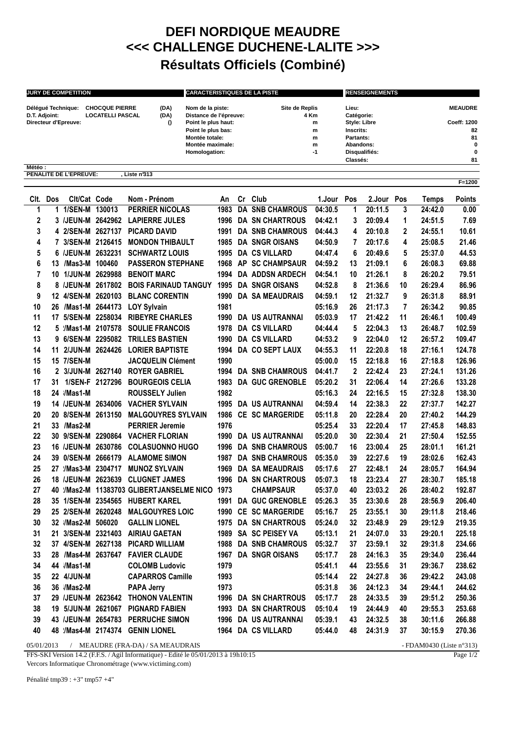## **DEFI NORDIQUE MEAUDRE <<< CHALLENGE DUCHENE-LALITE >>> Résultats Officiels (Combiné)**

| <b>JURY DE COMPETITION</b> |                         |      | <b>CARACTERISTIQUES DE LA PISTE</b> |                | <b>RENSEIGNEMENTS</b> |                |  |  |
|----------------------------|-------------------------|------|-------------------------------------|----------------|-----------------------|----------------|--|--|
| Délégué Technique:         | <b>CHOCQUE PIERRE</b>   | (DA) | Nom de la piste:                    | Site de Replis | Lieu:                 | <b>MEAUDRE</b> |  |  |
| D.T. Adjoint:              | <b>LOCATELLI PASCAL</b> | (DA) | Distance de l'épreuve:              | 4 Km           | Catégorie:            |                |  |  |
| Directeur d'Epreuve:       |                         |      | Point le plus haut:                 | m              | <b>Style: Libre</b>   | Coeff: 1200    |  |  |
|                            |                         |      | Point le plus bas:                  | m              | Inscrits:             | 82             |  |  |
|                            |                         |      | Montée totale:                      | m              | Partants:             | 81             |  |  |
|                            |                         |      | Montée maximale:                    | m              | Abandons:             | 0              |  |  |
|                            |                         |      | Homologation:                       | -1             | Disqualifiés:         | $\bf{0}$       |  |  |
|                            |                         |      |                                     |                | Classés:              | 81             |  |  |

**Météo : PENALITE DE L'EPREUVE: , Liste n°313**

| CIt.           | Dos | Clt/Cat Code       | Nom - Prénom                              | An   | Cr Club                     | 1.Jour  | Pos         | 2.Jour Pos |                | Temps   | <b>Points</b> |
|----------------|-----|--------------------|-------------------------------------------|------|-----------------------------|---------|-------------|------------|----------------|---------|---------------|
| 1              |     | 1 1/SEN-M 130013   | <b>PERRIER NICOLAS</b>                    | 1983 | <b>DA SNB CHAMROUS</b>      | 04:30.5 | 1           | 20:11.5    | 3              | 24:42.0 | 0.00          |
| $\mathbf 2$    |     | 3 /JEUN-M 2642962  | <b>LAPIERRE JULES</b>                     |      | 1996 DA SN CHARTROUS        | 04:42.1 | 3           | 20:09.4    | 1              | 24:51.5 | 7.69          |
| 3              |     | 4 2/SEN-M 2627137  | <b>PICARD DAVID</b>                       | 1991 | <b>DA SNB CHAMROUS</b>      | 04:44.3 | 4           | 20:10.8    | $\mathbf{2}$   | 24:55.1 | 10.61         |
| 4              |     | 7 3/SEN-M 2126415  | <b>MONDON THIBAULT</b>                    |      | 1985 DA SNGR OISANS         | 04:50.9 | 7           | 20:17.6    | 4              | 25:08.5 | 21.46         |
| 5              |     | 6 /JEUN-M 2632231  | <b>SCHWARTZ LOUIS</b>                     |      | 1995 DA CS VILLARD          | 04:47.4 | 6           | 20:49.6    | 5              | 25:37.0 | 44.53         |
| 6              |     | 13 /Mas3-M 100460  | <b>PASSERON STEPHANE</b>                  |      | 1968 AP SC CHAMPSAUR        | 04:59.2 | 13          | 21:09.1    | 6              | 26:08.3 | 69.88         |
| $\overline{7}$ |     | 10 1/JUN-M 2629988 | <b>BENOIT MARC</b>                        |      | 1994 DA ADDSN ARDECH        | 04:54.1 | 10          | 21:26.1    | 8              | 26:20.2 | 79.51         |
| 8              |     | 8 /JEUN-M 2617802  | <b>BOIS FARINAUD TANGUY</b>               | 1995 | <b>DA SNGR OISANS</b>       | 04:52.8 | 8           | 21:36.6    | 10             | 26:29.4 | 86.96         |
| 9              |     | 12 4/SEN-M 2620103 | <b>BLANC CORENTIN</b>                     |      | <b>1990 DA SA MEAUDRAIS</b> | 04:59.1 | 12          | 21:32.7    | 9              | 26:31.8 | 88.91         |
| 10             |     | 26 /Mas1-M 2644173 | <b>LOY Sylvain</b>                        | 1981 |                             | 05:16.9 | 26          | 21:17.3    | $\overline{7}$ | 26:34.2 | 90.85         |
| 11             |     | 17 5/SEN-M 2258034 | <b>RIBEYRE CHARLES</b>                    |      | 1990 DA US AUTRANNAI        | 05:03.9 | 17          | 21:42.2    | 11             | 26:46.1 | 100.49        |
| 12             |     | 5 /Mas1-M 2107578  | <b>SOULIE FRANCOIS</b>                    |      | 1978 DA CS VILLARD          | 04:44.4 | 5           | 22:04.3    | 13             | 26:48.7 | 102.59        |
| 13             |     | 9 6/SEN-M 2295082  | <b>TRILLES BASTIEN</b>                    | 1990 | <b>DA CS VILLARD</b>        | 04:53.2 | 9           | 22:04.0    | 12             | 26:57.2 | 109.47        |
| 14             |     | 11 2/JUN-M 2624426 | <b>LORIER BAPTISTE</b>                    |      | 1994 DA CO SEPT LAUX        | 04:55.3 | 11          | 22:20.8    | 18             | 27:16.1 | 124.78        |
| 15             |     | 15 7/SEN-M         | <b>JACQUELIN Clément</b>                  | 1990 |                             | 05:00.0 | 15          | 22:18.8    | 16             | 27:18.8 | 126.96        |
| 16             |     | 2 3/JUN-M 2627140  | <b>ROYER GABRIEL</b>                      |      | <b>1994 DA SNB CHAMROUS</b> | 04:41.7 | $\mathbf 2$ | 22:42.4    | 23             | 27:24.1 | 131.26        |
| 17             |     | 31 1/SEN-F 2127296 | <b>BOURGEOIS CELIA</b>                    |      | 1983 DA GUC GRENOBLE        | 05:20.2 | 31          | 22:06.4    | 14             | 27:26.6 | 133.28        |
| 18             |     | 24 /Mas1-M         | <b>ROUSSELY Julien</b>                    | 1982 |                             | 05:16.3 | 24          | 22:16.5    | 15             | 27:32.8 | 138.30        |
| 19             |     | 14 /JEUN-M 2634006 | <b>VACHER SYLVAIN</b>                     |      | 1995 DA US AUTRANNAI        | 04:59.4 | 14          | 22:38.3    | 22             | 27:37.7 | 142.27        |
| 20             |     | 20 8/SEN-M 2613150 | <b>MALGOUYRES SYLVAIN</b>                 |      | 1986 CE SC MARGERIDE        | 05:11.8 | 20          | 22:28.4    | 20             | 27:40.2 | 144.29        |
| 21             |     | 33 /Mas2-M         | <b>PERRIER Jeremie</b>                    | 1976 |                             | 05:25.4 | 33          | 22:20.4    | 17             | 27:45.8 | 148.83        |
| 22             |     |                    | 30 9/SEN-M 2290864 VACHER FLORIAN         |      | 1990 DA US AUTRANNAI        | 05:20.0 | 30          | 22:30.4    | 21             | 27:50.4 | 152.55        |
| 23             |     | 16 /JEUN-M 2630786 | <b>COLASUONNO HUGO</b>                    |      | <b>1996 DA SNB CHAMROUS</b> | 05:00.7 | 16          | 23:00.4    | 25             | 28:01.1 | 161.21        |
| 24             |     | 39 0/SEN-M 2666179 | <b>ALAMOME SIMON</b>                      |      | <b>1987 DA SNB CHAMROUS</b> | 05:35.0 | 39          | 22:27.6    | 19             | 28:02.6 | 162.43        |
| 25             |     | 27 /Mas3-M 2304717 | <b>MUNOZ SYLVAIN</b>                      | 1969 | DA SA MEAUDRAIS             | 05:17.6 | 27          | 22:48.1    | 24             | 28:05.7 | 164.94        |
| 26             |     | 18 /JEUN-M 2623639 | <b>CLUGNET JAMES</b>                      |      | 1996 DA SN CHARTROUS        | 05:07.3 | 18          | 23:23.4    | 27             | 28:30.7 | 185.18        |
| 27             |     |                    | 40 //Mas2-M 11383703 GLIBERTJANSELME NICO | 1973 | <b>CHAMPSAUR</b>            | 05:37.0 | 40          | 23:03.2    | 26             | 28:40.2 | 192.87        |
| 28             |     |                    |                                           |      | 1991 DA GUC GRENOBLE        | 05:26.3 | 35          | 23:30.6    | 28             | 28:56.9 | 206.40        |
| 29             |     | 25 2/SEN-M 2620248 | <b>MALGOUYRES LOIC</b>                    |      | 1990 CE SC MARGERIDE        | 05:16.7 | 25          | 23:55.1    | 30             | 29:11.8 | 218.46        |
| 30             |     | 32 /Mas2-M 506020  | <b>GALLIN LIONEL</b>                      | 1975 | <b>DA SN CHARTROUS</b>      | 05:24.0 | 32          | 23:48.9    | 29             | 29:12.9 | 219.35        |
| 31             |     |                    | 21 3/SEN-M 2321403 AIRIAU GAETAN          |      | 1989 SA SC PEISEY VA        | 05:13.1 | 21          | 24:07.0    | 33             | 29:20.1 | 225.18        |
| 32             |     | 37 4/SEN-M 2627138 | <b>PICARD WILLIAM</b>                     |      | 1988 DA SNB CHAMROUS        | 05:32.7 | 37          | 23:59.1    | 32             | 29:31.8 | 234.66        |
| 33             |     | 28 /Mas4-M 2637647 | <b>FAVIER CLAUDE</b>                      |      | 1967 DA SNGR OISANS         | 05:17.7 | 28          | 24:16.3    | 35             | 29:34.0 | 236.44        |
| 34             |     | 44 /Mas1-M         | <b>COLOMB Ludovic</b>                     | 1979 |                             | 05:41.1 | 44          | 23:55.6    | 31             | 29:36.7 | 238.62        |
| 35             |     | 22 4/JUN-M         | <b>CAPARROS Camille</b>                   | 1993 |                             | 05:14.4 | 22          | 24:27.8    | 36             | 29:42.2 | 243.08        |
| 36             |     | 36 /Mas2-M         | <b>PAPA Jerry</b>                         | 1973 |                             | 05:31.8 | 36          | 24:12.3    | 34             | 29:44.1 | 244.62        |
| 37             |     | 29 /JEUN-M 2623642 | <b>THONON VALENTIN</b>                    |      | 1996 DA SN CHARTROUS        | 05:17.7 | 28          | 24:33.5    | 39             | 29:51.2 | 250.36        |
| 38             |     | 19 5/JUN-M 2621067 | <b>PIGNARD FABIEN</b>                     |      | 1993 DA SN CHARTROUS        | 05:10.4 | 19          | 24:44.9    | 40             | 29:55.3 | 253.68        |
| 39             |     | 43 /JEUN-M 2654783 | <b>PERRUCHE SIMON</b>                     | 1996 | DA US AUTRANNAI             | 05:39.1 | 43          | 24:32.5    | 38             | 30:11.6 | 266.88        |
| 40             |     |                    | 48 /Mas4-M 2174374 GENIN LIONEL           |      | 1964 DA CS VILLARD          | 05:44.0 | 48          | 24:31.9    | 37             | 30:15.9 | 270.36        |
|                |     |                    |                                           |      |                             |         |             |            |                |         |               |

05/01/2013 / MEAUDRE (FRA-DA) / SA MEAUDRAIS - FDAM0430 (Liste n°313)

FFS-SKI Version 14.2 (F.F.S. / Agil Informatique) - Edité le 05/01/2013 à 19h10:15

Vercors Informatique Chronométrage (www.victiming.com)

Page 1/2

**F=1200**